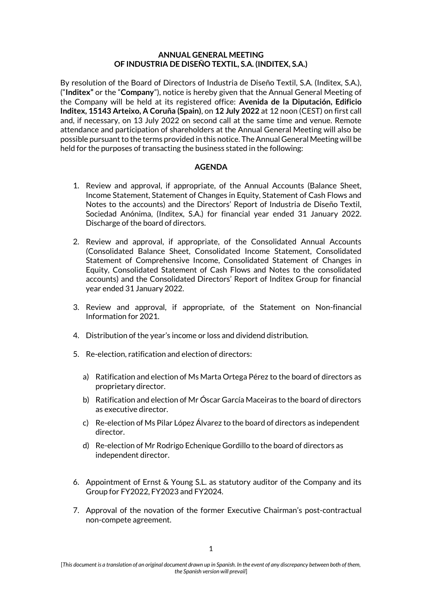### **ANNUAL GENERAL MEETING OF INDUSTRIA DE DISEÑO TEXTIL, S.A. (INDITEX, S.A.)**

By resolution of the Board of Directors of Industria de Diseño Textil, S.A. (Inditex, S.A.), ("**Inditex"** or the "**Company**"), notice is hereby given that the Annual General Meeting of the Company will be held at its registered office: **Avenida de la Diputación, Edificio Inditex, 15143 Arteixo, A Coruña (Spain)**, on **12 July 2022** at 12 noon (CEST) on first call and, if necessary, on 13 July 2022 on second call at the same time and venue. Remote attendance and participation of shareholders at the Annual General Meeting will also be possible pursuant to the terms provided in this notice. The Annual General Meeting will be held for the purposes of transacting the business stated in the following:

# **AGENDA**

- 1. Review and approval, if appropriate, of the Annual Accounts (Balance Sheet, Income Statement, Statement of Changes in Equity, Statement of Cash Flows and Notes to the accounts) and the Directors' Report of Industria de Diseño Textil, Sociedad Anónima, (Inditex, S.A.) for financial year ended 31 January 2022. Discharge of the board of directors.
- 2. Review and approval, if appropriate, of the Consolidated Annual Accounts (Consolidated Balance Sheet, Consolidated Income Statement, Consolidated Statement of Comprehensive Income, Consolidated Statement of Changes in Equity, Consolidated Statement of Cash Flows and Notes to the consolidated accounts) and the Consolidated Directors' Report of Inditex Group for financial year ended 31 January 2022.
- 3. Review and approval, if appropriate, of the Statement on Non-financial Information for 2021.
- 4. Distribution of the year's income or loss and dividend distribution.
- 5. Re-election, ratification and election of directors:
	- a) Ratification and election of Ms Marta Ortega Pérez to the board of directors as proprietary director.
	- b) Ratification and election of Mr Óscar García Maceiras to the board of directors as executive director.
	- c) Re-election of Ms Pilar López Álvarez to the board of directors as independent director.
	- d) Re-election of Mr Rodrigo Echenique Gordillo to the board of directors as independent director.
- 6. Appointment of Ernst & Young S.L. as statutory auditor of the Company and its Group for FY2022, FY2023 and FY2024.
- 7. Approval of the novation of the former Executive Chairman's post-contractual non-compete agreement.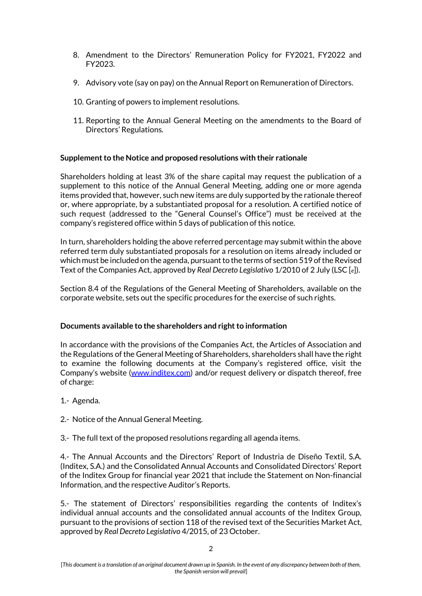- 8. Amendment to the Directors' Remuneration Policy for FY2021, FY2022 and FY2023.
- 9. Advisory vote (say on pay) on the Annual Report on Remuneration of Directors.
- 10. Granting of powers to implement resolutions.
- 11. Reporting to the Annual General Meeting on the amendments to the Board of Directors' Regulations.

# **Supplement to the Notice and proposed resolutions with their rationale**

Shareholders holding at least 3% of the share capital may request the publication of a supplement to this notice of the Annual General Meeting, adding one or more agenda items provided that, however, such new items are duly supported by the rationale thereof or, where appropriate, by a substantiated proposal for a resolution. A certified notice of such request (addressed to the "General Counsel's Office") must be received at the company's registered office within 5 days of publication of this notice.

In turn, shareholders holding the above referred percentage may submit within the above referred term duly substantiated proposals for a resolution on items already included or which must be included on the agenda, pursuant to the terms of section 519 of the Revised Text of the Companies Act, approved by *Real Decreto Legislativo* 1/2010 of 2 July (LSC [*e*]).

Section 8.4 of the Regulations of the General Meeting of Shareholders, available on the corporate website, sets out the specific procedures for the exercise of such rights.

# **Documents available to the shareholders and right to information**

In accordance with the provisions of the Companies Act, the Articles of Association and the Regulations of the General Meeting of Shareholders, shareholders shall have the right to examine the following documents at the Company's registered office, visit the Company's website [\(www.inditex.com\)](http://www.inditex.com/) and/or request delivery or dispatch thereof, free of charge:

- 1.- Agenda.
- 2.- Notice of the Annual General Meeting.
- 3.- The full text of the proposed resolutions regarding all agenda items.

4.- The Annual Accounts and the Directors' Report of Industria de Diseño Textil, S.A. (Inditex, S.A.) and the Consolidated Annual Accounts and Consolidated Directors' Report of the Inditex Group for financial year 2021 that include the Statement on Non-financial Information, and the respective Auditor's Reports.

5.- The statement of Directors' responsibilities regarding the contents of Inditex's individual annual accounts and the consolidated annual accounts of the Inditex Group, pursuant to the provisions of section 118 of the revised text of the Securities Market Act, approved by *Real Decreto Legislativo* 4/2015, of 23 October.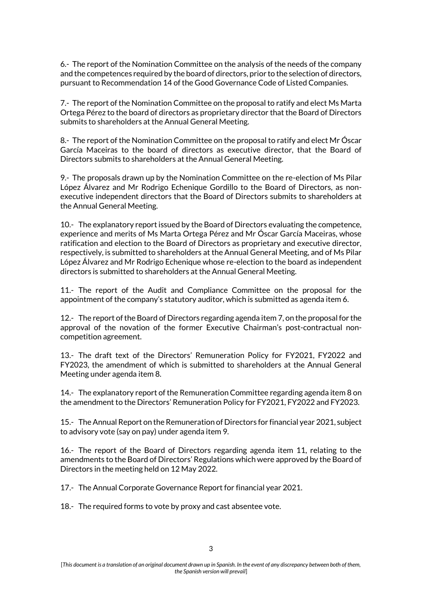6.- The report of the Nomination Committee on the analysis of the needs of the company and the competences required by the board of directors, prior to the selection of directors, pursuant to Recommendation 14 of the Good Governance Code of Listed Companies.

7.- The report of the Nomination Committee on the proposal to ratify and elect Ms Marta Ortega Pérez to the board of directors as proprietary director that the Board of Directors submits to shareholders at the Annual General Meeting.

8.- The report of the Nomination Committee on the proposal to ratify and elect Mr Óscar García Maceiras to the board of directors as executive director, that the Board of Directors submits to shareholders at the Annual General Meeting.

9.- The proposals drawn up by the Nomination Committee on the re-election of Ms Pilar López Álvarez and Mr Rodrigo Echenique Gordillo to the Board of Directors, as nonexecutive independent directors that the Board of Directors submits to shareholders at the Annual General Meeting.

10.- The explanatory report issued by the Board of Directors evaluating the competence, experience and merits of Ms Marta Ortega Pérez and Mr Óscar García Maceiras, whose ratification and election to the Board of Directors as proprietary and executive director, respectively, is submitted to shareholders at the Annual General Meeting, and of Ms Pilar López Álvarez and Mr Rodrigo Echenique whose re-election to the board as independent directors is submitted to shareholders at the Annual General Meeting.

11.- The report of the Audit and Compliance Committee on the proposal for the appointment of the company's statutory auditor, which is submitted as agenda item 6.

12.- The report of the Board of Directors regarding agenda item 7, on the proposal for the approval of the novation of the former Executive Chairman's post-contractual noncompetition agreement.

13.- The draft text of the Directors' Remuneration Policy for FY2021, FY2022 and FY2023, the amendment of which is submitted to shareholders at the Annual General Meeting under agenda item 8.

14.- The explanatory report of the Remuneration Committee regarding agenda item 8 on the amendment to the Directors' Remuneration Policy for FY2021, FY2022 and FY2023.

15.- The Annual Report on the Remuneration of Directors for financial year 2021, subject to advisory vote (say on pay) under agenda item 9.

16.- The report of the Board of Directors regarding agenda item 11, relating to the amendments to the Board of Directors' Regulations which were approved by the Board of Directors in the meeting held on 12 May 2022.

17.- The Annual Corporate Governance Report for financial year 2021.

18.- The required forms to vote by proxy and cast absentee vote.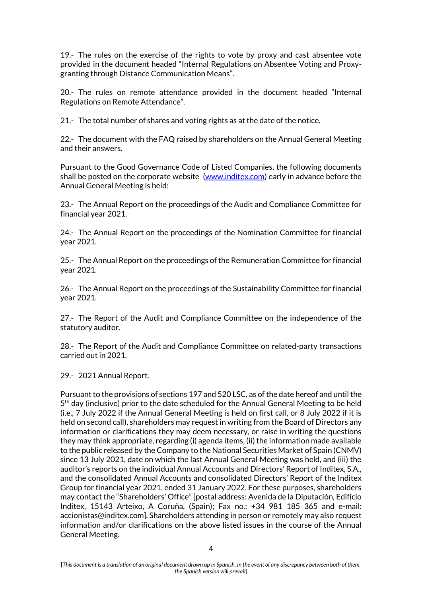19.- The rules on the exercise of the rights to vote by proxy and cast absentee vote provided in the document headed "Internal Regulations on Absentee Voting and Proxygranting through Distance Communication Means".

20.- The rules on remote attendance provided in the document headed "Internal Regulations on Remote Attendance".

21.- The total number of shares and voting rights as at the date of the notice.

22.- The document with the FAQ raised by shareholders on the Annual General Meeting and their answers.

Pursuant to the Good Governance Code of Listed Companies, the following documents shall be posted on the corporate website [\(www.inditex.com\)](http://www.inditex.com/) early in advance before the Annual General Meeting is held:

23.- The Annual Report on the proceedings of the Audit and Compliance Committee for financial year 2021.

24.- The Annual Report on the proceedings of the Nomination Committee for financial year 2021.

25.- The Annual Report on the proceedings of the Remuneration Committee for financial year 2021.

26.- The Annual Report on the proceedings of the Sustainability Committee for financial year 2021.

27.- The Report of the Audit and Compliance Committee on the independence of the statutory auditor.

28.- The Report of the Audit and Compliance Committee on related-party transactions carried out in 2021.

29.- 2021 Annual Report.

Pursuant to the provisions of sections 197 and 520 LSC, as of the date hereof and until the 5<sup>th</sup> day (inclusive) prior to the date scheduled for the Annual General Meeting to be held (i.e., 7 July 2022 if the Annual General Meeting is held on first call, or 8 July 2022 if it is held on second call), shareholders may request in writing from the Board of Directors any information or clarifications they may deem necessary, or raise in writing the questions they may think appropriate, regarding (i) agenda items, (ii) the information made available to the public released by the Company to the National Securities Market of Spain (CNMV) since 13 July 2021, date on which the last Annual General Meeting was held, and (iii) the auditor's reports on the individual Annual Accounts and Directors' Report of Inditex, S.A., and the consolidated Annual Accounts and consolidated Directors' Report of the Inditex Group for financial year 2021, ended 31 January 2022. For these purposes, shareholders may contact the "Shareholders' Office" [postal address: Avenida de la Diputación, Edificio Inditex, 15143 Arteixo, A Coruña, (Spain); Fax no.: +34 981 185 365 and e-mail: accionistas@inditex.com]. Shareholders attending in person or remotely may also request information and/or clarifications on the above listed issues in the course of the Annual General Meeting.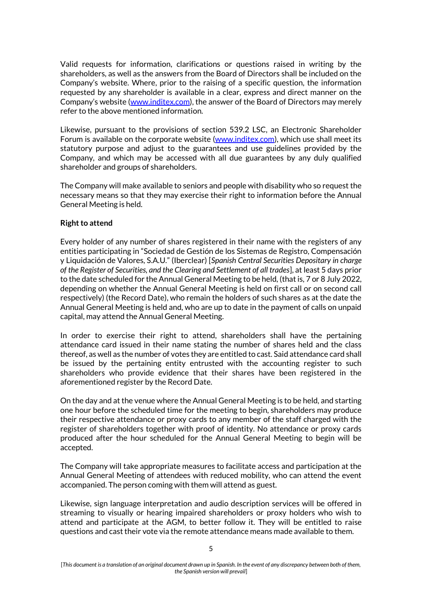Valid requests for information, clarifications or questions raised in writing by the shareholders, as well as the answers from the Board of Directors shall be included on the Company's website. Where, prior to the raising of a specific question, the information requested by any shareholder is available in a clear, express and direct manner on the Company's website [\(www.inditex.com\)](http://www.inditex.com/), the answer of the Board of Directors may merely refer to the above mentioned information.

Likewise, pursuant to the provisions of section 539.2 LSC, an Electronic Shareholder Forum is available on the corporate website (www.inditex.com), which use shall meet its statutory purpose and adjust to the guarantees and use guidelines provided by the Company, and which may be accessed with all due guarantees by any duly qualified shareholder and groups of shareholders.

The Company will make available to seniors and people with disability who so request the necessary means so that they may exercise their right to information before the Annual General Meeting is held.

### **Right to attend**

Every holder of any number of shares registered in their name with the registers of any entities participating in "Sociedad de Gestión de los Sistemas de Registro, Compensación y Liquidación de Valores, S.A.U." (Iberclear) [*Spanish Central Securities Depositary in charge of the Register of Securities, and the Clearing and Settlement of all trades*], at least 5 days prior to the date scheduled for the Annual General Meeting to be held, (that is, 7 or 8 July 2022, depending on whether the Annual General Meeting is held on first call or on second call respectively) (the Record Date), who remain the holders of such shares as at the date the Annual General Meeting is held and, who are up to date in the payment of calls on unpaid capital, may attend the Annual General Meeting.

In order to exercise their right to attend, shareholders shall have the pertaining attendance card issued in their name stating the number of shares held and the class thereof, as well as the number of votes they are entitled to cast. Said attendance card shall be issued by the pertaining entity entrusted with the accounting register to such shareholders who provide evidence that their shares have been registered in the aforementioned register by the Record Date.

On the day and at the venue where the Annual General Meeting is to be held, and starting one hour before the scheduled time for the meeting to begin, shareholders may produce their respective attendance or proxy cards to any member of the staff charged with the register of shareholders together with proof of identity. No attendance or proxy cards produced after the hour scheduled for the Annual General Meeting to begin will be accepted.

The Company will take appropriate measures to facilitate access and participation at the Annual General Meeting of attendees with reduced mobility, who can attend the event accompanied. The person coming with them will attend as guest.

Likewise, sign language interpretation and audio description services will be offered in streaming to visually or hearing impaired shareholders or proxy holders who wish to attend and participate at the AGM, to better follow it. They will be entitled to raise questions and cast their vote via the remote attendance means made available to them.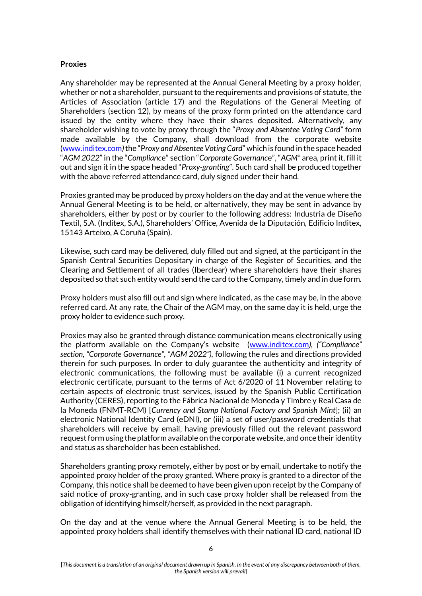### **Proxies**

Any shareholder may be represented at the Annual General Meeting by a proxy holder, whether or not a shareholder, pursuant to the requirements and provisions of statute, the Articles of Association (article 17) and the Regulations of the General Meeting of Shareholders (section 12), by means of the proxy form printed on the attendance card issued by the entity where they have their shares deposited. Alternatively, any shareholder wishing to vote by proxy through the "*Proxy and Absentee Voting Card*" form made available by the Company, shall download from the corporate website (www.inditex.com*)*the "P*roxy and Absentee Voting Card*" which is found in the space headed "*AGM 2022*" in the "*Complianc*e" section "*Corporate Governanc*e", "*AGM"* area, print it, fill it out and sign it in the space headed "*Proxy-granting*". Such card shall be produced together with the above referred attendance card, duly signed under their hand.

Proxies granted may be produced by proxy holders on the day and at the venue where the Annual General Meeting is to be held, or alternatively, they may be sent in advance by shareholders, either by post or by courier to the following address: Industria de Diseño Textil, S.A. (Inditex, S.A.), Shareholders' Office, Avenida de la Diputación, Edificio Inditex, 15143 Arteixo, A Coruña (Spain).

Likewise, such card may be delivered, duly filled out and signed, at the participant in the Spanish Central Securities Depositary in charge of the Register of Securities, and the Clearing and Settlement of all trades (Iberclear) where shareholders have their shares deposited so that such entity would send the card to the Company, timely and in due form.

Proxy holders must also fill out and sign where indicated, as the case may be, in the above referred card. At any rate, the Chair of the AGM may, on the same day it is held, urge the proxy holder to evidence such proxy.

Proxies may also be granted through distance communication means electronically using the platform available on the Company's website ([www.inditex.com](http://www.inditex.com/)*), ("Compliance" section, "Corporate Governance", "AGM 2022"),* following the rules and directions provided therein for such purposes. In order to duly guarantee the authenticity and integrity of electronic communications, the following must be available (i) a current recognized electronic certificate, pursuant to the terms of Act 6/2020 of 11 November relating to certain aspects of electronic trust services, issued by the Spanish Public Certification Authority (CERES), reporting to the Fábrica Nacional de Moneda y Timbre y Real Casa de la Moneda (FNMT-RCM) [*Currency and Stamp National Factory and Spanish Mint*]; (ii) an electronic National Identity Card (eDNI), or (iii) a set of user/password credentials that shareholders will receive by email, having previously filled out the relevant password request form using the platform available on the corporate website, and once their identity and status as shareholder has been established.

Shareholders granting proxy remotely, either by post or by email, undertake to notify the appointed proxy holder of the proxy granted. Where proxy is granted to a director of the Company, this notice shall be deemed to have been given upon receipt by the Company of said notice of proxy-granting, and in such case proxy holder shall be released from the obligation of identifying himself/herself, as provided in the next paragraph.

On the day and at the venue where the Annual General Meeting is to be held, the appointed proxy holders shall identify themselves with their national ID card, national ID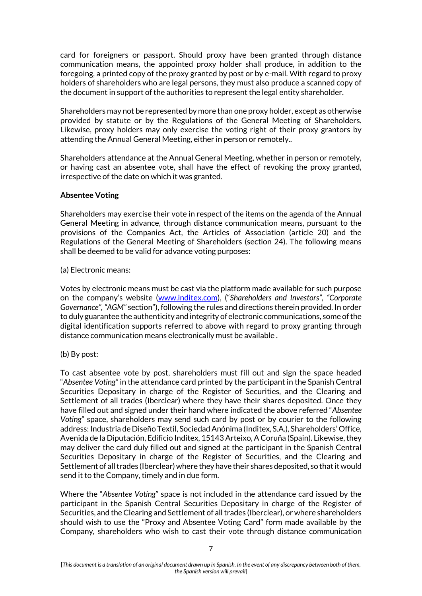card for foreigners or passport. Should proxy have been granted through distance communication means, the appointed proxy holder shall produce, in addition to the foregoing, a printed copy of the proxy granted by post or by e-mail. With regard to proxy holders of shareholders who are legal persons, they must also produce a scanned copy of the document in support of the authorities to represent the legal entity shareholder.

Shareholders may not be represented by more than one proxy holder, except as otherwise provided by statute or by the Regulations of the General Meeting of Shareholders. Likewise, proxy holders may only exercise the voting right of their proxy grantors by attending the Annual General Meeting, either in person or remotely..

Shareholders attendance at the Annual General Meeting, whether in person or remotely, or having cast an absentee vote, shall have the effect of revoking the proxy granted, irrespective of the date on which it was granted.

# **Absentee Voting**

Shareholders may exercise their vote in respect of the items on the agenda of the Annual General Meeting in advance, through distance communication means, pursuant to the provisions of the Companies Act, the Articles of Association (article 20) and the Regulations of the General Meeting of Shareholders (section 24). The following means shall be deemed to be valid for advance voting purposes:

### (a) Electronic means:

Votes by electronic means must be cast via the platform made available for such purpose on the company's website [\(www.inditex.com](http://www.inditex.com/)), ("*Shareholders and Investors", "Corporate Governance", "AGM"* section"), following the rules and directions therein provided. In order to duly guarantee the authenticity and integrity of electronic communications, some of the digital identification supports referred to above with regard to proxy granting through distance communication means electronically must be available .

(b) By post:

To cast absentee vote by post, shareholders must fill out and sign the space headed "*Absentee Voting"* in the attendance card printed by the participant in the Spanish Central Securities Depositary in charge of the Register of Securities, and the Clearing and Settlement of all trades (Iberclear) where they have their shares deposited. Once they have filled out and signed under their hand where indicated the above referred "*Absentee Voting*" space, shareholders may send such card by post or by courier to the following address: Industria de Diseño Textil, Sociedad Anónima (Inditex, S.A.), Shareholders' Office, Avenida de la Diputación, Edificio Inditex, 15143 Arteixo, A Coruña (Spain). Likewise, they may deliver the card duly filled out and signed at the participant in the Spanish Central Securities Depositary in charge of the Register of Securities, and the Clearing and Settlement of all trades (Iberclear) where they have their shares deposited, so that it would send it to the Company, timely and in due form.

Where the "*Absentee Voting*" space is not included in the attendance card issued by the participant in the Spanish Central Securities Depositary in charge of the Register of Securities, and the Clearing and Settlement of all trades (Iberclear), or where shareholders should wish to use the "Proxy and Absentee Voting Card" form made available by the Company, shareholders who wish to cast their vote through distance communication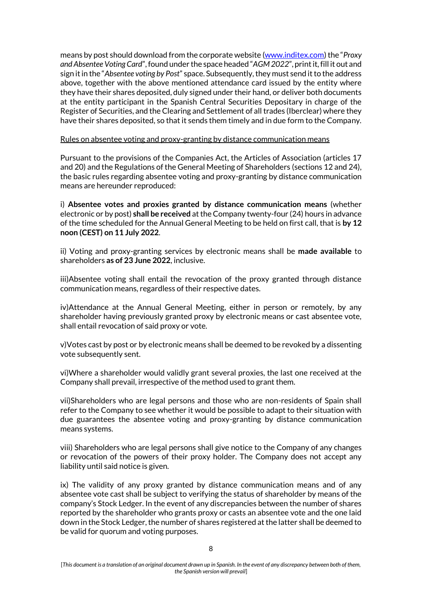means by post should download from the corporate website (www.inditex.com) the "*Proxy and Absentee Voting Card*", found under the space headed "*AGM 2022*", print it, fill it out and sign it in the "*Absentee voting by Post*" space. Subsequently, they must send it to the address above, together with the above mentioned attendance card issued by the entity where they have their shares deposited, duly signed under their hand, or deliver both documents at the entity participant in the Spanish Central Securities Depositary in charge of the Register of Securities, and the Clearing and Settlement of all trades (Iberclear) where they have their shares deposited, so that it sends them timely and in due form to the Company.

### Rules on absentee voting and proxy-granting by distance communication means

Pursuant to the provisions of the Companies Act, the Articles of Association (articles 17 and 20) and the Regulations of the General Meeting of Shareholders (sections 12 and 24), the basic rules regarding absentee voting and proxy-granting by distance communication means are hereunder reproduced:

i) **Absentee votes and proxies granted by distance communication means** (whether electronic or by post) **shall be received** at the Company twenty-four (24) hours in advance of the time scheduled for the Annual General Meeting to be held on first call, that is **by 12 noon (CEST) on 11 July 2022**.

ii) Voting and proxy-granting services by electronic means shall be **made available** to shareholders **as of 23 June 2022**, inclusive.

iii)Absentee voting shall entail the revocation of the proxy granted through distance communication means, regardless of their respective dates.

iv)Attendance at the Annual General Meeting, either in person or remotely, by any shareholder having previously granted proxy by electronic means or cast absentee vote, shall entail revocation of said proxy or vote.

v)Votes cast by post or by electronic means shall be deemed to be revoked by a dissenting vote subsequently sent.

vi)Where a shareholder would validly grant several proxies, the last one received at the Company shall prevail, irrespective of the method used to grant them.

vii)Shareholders who are legal persons and those who are non-residents of Spain shall refer to the Company to see whether it would be possible to adapt to their situation with due guarantees the absentee voting and proxy-granting by distance communication means systems.

viii) Shareholders who are legal persons shall give notice to the Company of any changes or revocation of the powers of their proxy holder. The Company does not accept any liability until said notice is given.

ix) The validity of any proxy granted by distance communication means and of any absentee vote cast shall be subject to verifying the status of shareholder by means of the company's Stock Ledger. In the event of any discrepancies between the number of shares reported by the shareholder who grants proxy or casts an absentee vote and the one laid down in the Stock Ledger, the number of shares registered at the latter shall be deemed to be valid for quorum and voting purposes.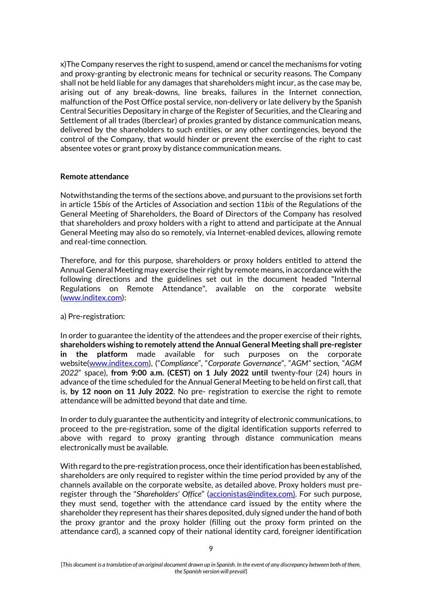x)The Company reserves the right to suspend, amend or cancel the mechanisms for voting and proxy-granting by electronic means for technical or security reasons. The Company shall not be held liable for any damages that shareholders might incur, as the case may be, arising out of any break-downs, line breaks, failures in the Internet connection, malfunction of the Post Office postal service, non-delivery or late delivery by the Spanish Central Securities Depositary in charge of the Register of Securities, and the Clearing and Settlement of all trades (Iberclear) of proxies granted by distance communication means, delivered by the shareholders to such entities, or any other contingencies, beyond the control of the Company, that would hinder or prevent the exercise of the right to cast absentee votes or grant proxy by distance communication means.

### **Remote attendance**

Notwithstanding the terms of the sections above, and pursuant to the provisions set forth in article 15*bis* of the Articles of Association and section 11*bis* of the Regulations of the General Meeting of Shareholders, the Board of Directors of the Company has resolved that shareholders and proxy holders with a right to attend and participate at the Annual General Meeting may also do so remotely, via Internet-enabled devices, allowing remote and real-time connection.

Therefore, and for this purpose, shareholders or proxy holders entitled to attend the Annual General Meeting may exercise their right by remote means, in accordance with the following directions and the guidelines set out in the document headed "Internal Regulations on Remote Attendance", available on the corporate website (www.inditex.com):

# a) Pre-registration:

In order to guarantee the identity of the attendees and the proper exercise of their rights, **shareholders wishing to remotely attend the Annual General Meeting shall pre-register in the platform** made available for such purposes on the corporate website[\(www.inditex.com](http://www.inditex.com/)), ("*Compliance*", "*Corporate Governance*", "*AGM"* section*,* "*AGM 2022*" space), **from 9:00 a.m. (CEST) on 1 July 2022 until** twenty-four (24) hours in advance of the time scheduled for the Annual General Meeting to be held on first call, that is, **by 12 noon on 11 July 2022**. No pre- registration to exercise the right to remote attendance will be admitted beyond that date and time.

In order to duly guarantee the authenticity and integrity of electronic communications, to proceed to the pre-registration, some of the digital identification supports referred to above with regard to proxy granting through distance communication means electronically must be available.

With regard to the pre-registration process, once their identification has been established, shareholders are only required to register within the time period provided by any of the channels available on the corporate website, as detailed above. Proxy holders must preregister through the "*Shareholders' Office*" (accionistas@inditex.com). For such purpose, they must send, together with the attendance card issued by the entity where the shareholder they represent has their shares deposited, duly signed under the hand of both the proxy grantor and the proxy holder (filling out the proxy form printed on the attendance card), a scanned copy of their national identity card, foreigner identification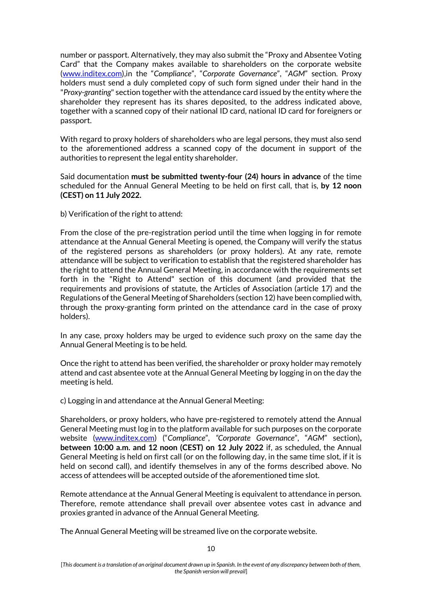number or passport. Alternatively, they may also submit the "Proxy and Absentee Voting Card" that the Company makes available to shareholders on the corporate website [\(www.inditex.com](http://www.inditex.com/)),in the "*Compliance*", "*Corporate Governance*", "*AGM*" section. Proxy holders must send a duly completed copy of such form signed under their hand in the "*Proxy-granting*" section together with the attendance card issued by the entity where the shareholder they represent has its shares deposited, to the address indicated above, together with a scanned copy of their national ID card, national ID card for foreigners or passport.

With regard to proxy holders of shareholders who are legal persons, they must also send to the aforementioned address a scanned copy of the document in support of the authorities to represent the legal entity shareholder.

Said documentation **must be submitted twenty-four (24) hours in advance** of the time scheduled for the Annual General Meeting to be held on first call, that is, **by 12 noon (CEST) on 11 July 2022.**

b) Verification of the right to attend:

From the close of the pre-registration period until the time when logging in for remote attendance at the Annual General Meeting is opened, the Company will verify the status of the registered persons as shareholders (or proxy holders). At any rate, remote attendance will be subject to verification to establish that the registered shareholder has the right to attend the Annual General Meeting, in accordance with the requirements set forth in the "Right to Attend" section of this document (and provided that the requirements and provisions of statute, the Articles of Association (article 17) and the Regulations of the General Meeting of Shareholders (section 12) have been complied with, through the proxy-granting form printed on the attendance card in the case of proxy holders).

In any case, proxy holders may be urged to evidence such proxy on the same day the Annual General Meeting is to be held.

Once the right to attend has been verified, the shareholder or proxy holder may remotely attend and cast absentee vote at the Annual General Meeting by logging in on the day the meeting is held.

c) Logging in and attendance at the Annual General Meeting:

Shareholders, or proxy holders, who have pre-registered to remotely attend the Annual General Meeting must log in to the platform available for such purposes on the corporate website [\(www.inditex.com](http://www.inditex.com/)) ("*Compliance*", *"Corporate Governance*", "*AGM*" section)**, between 10:00 a.m. and 12 noon (CEST) on 12 July 2022** if, as scheduled, the Annual General Meeting is held on first call (or on the following day, in the same time slot, if it is held on second call), and identify themselves in any of the forms described above. No access of attendees will be accepted outside of the aforementioned time slot.

Remote attendance at the Annual General Meeting is equivalent to attendance in person. Therefore, remote attendance shall prevail over absentee votes cast in advance and proxies granted in advance of the Annual General Meeting.

The Annual General Meeting will be streamed live on the corporate website.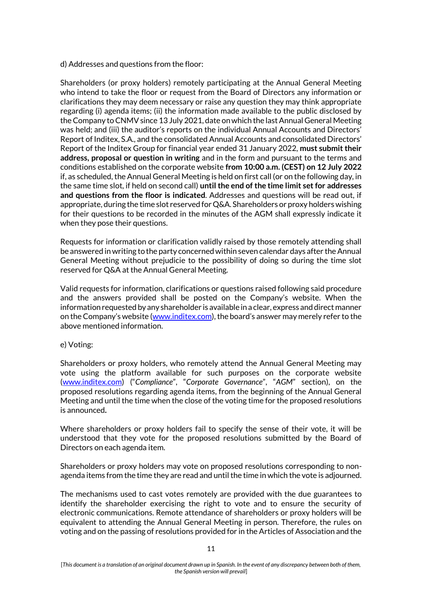d) Addresses and questions from the floor:

Shareholders (or proxy holders) remotely participating at the Annual General Meeting who intend to take the floor or request from the Board of Directors any information or clarifications they may deem necessary or raise any question they may think appropriate regarding (i) agenda items; (ii) the information made available to the public disclosed by the Company to CNMV since 13 July 2021, date on which the last Annual General Meeting was held; and (iii) the auditor's reports on the individual Annual Accounts and Directors' Report of Inditex, S.A., and the consolidated Annual Accounts and consolidated Directors' Report of the Inditex Group for financial year ended 31 January 2022, **must submit their address, proposal or question in writing** and in the form and pursuant to the terms and conditions established on the corporate website **from 10:00 a.m. (CEST) on 12 July 2022**  if, as scheduled, the Annual General Meeting is held on first call (or on the following day, in the same time slot, if held on second call) **until the end of the time limit set for addresses and questions from the floor is indicated**. Addresses and questions will be read out, if appropriate, during the time slot reserved for Q&A. Shareholders or proxy holders wishing for their questions to be recorded in the minutes of the AGM shall expressly indicate it when they pose their questions.

Requests for information or clarification validly raised by those remotely attending shall be answered in writing to the party concerned within seven calendar days after the Annual General Meeting without prejudicie to the possibility of doing so during the time slot reserved for Q&A at the Annual General Meeting.

Valid requests for information, clarifications or questions raised following said procedure and the answers provided shall be posted on the Company's website. When the information requested by any shareholder is available in a clear, express and direct manner on the Company's website ([www.inditex.com](http://www.inditex.com/)), the board's answer may merely refer to the above mentioned information.

# e) Voting:

Shareholders or proxy holders, who remotely attend the Annual General Meeting may vote using the platform available for such purposes on the corporate website [\(www.inditex.com](http://www.inditex.com/)) ("*Compliance*", "*Corporate Governance*", "*AGM*" section), on the proposed resolutions regarding agenda items, from the beginning of the Annual General Meeting and until the time when the close of the voting time for the proposed resolutions is announced**.**

Where shareholders or proxy holders fail to specify the sense of their vote, it will be understood that they vote for the proposed resolutions submitted by the Board of Directors on each agenda item.

Shareholders or proxy holders may vote on proposed resolutions corresponding to nonagenda items from the time they are read and until the time in which the vote is adjourned.

The mechanisms used to cast votes remotely are provided with the due guarantees to identify the shareholder exercising the right to vote and to ensure the security of electronic communications. Remote attendance of shareholders or proxy holders will be equivalent to attending the Annual General Meeting in person. Therefore, the rules on voting and on the passing of resolutions provided for in the Articles of Association and the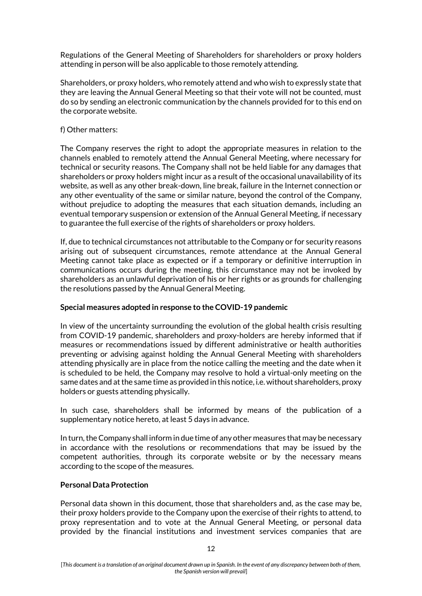Regulations of the General Meeting of Shareholders for shareholders or proxy holders attending in person will be also applicable to those remotely attending.

Shareholders, or proxy holders, who remotely attend and who wish to expressly state that they are leaving the Annual General Meeting so that their vote will not be counted, must do so by sending an electronic communication by the channels provided for to this end on the corporate website.

### f) Other matters:

The Company reserves the right to adopt the appropriate measures in relation to the channels enabled to remotely attend the Annual General Meeting, where necessary for technical or security reasons. The Company shall not be held liable for any damages that shareholders or proxy holders might incur as a result of the occasional unavailability of its website, as well as any other break-down, line break, failure in the Internet connection or any other eventuality of the same or similar nature, beyond the control of the Company, without prejudice to adopting the measures that each situation demands, including an eventual temporary suspension or extension of the Annual General Meeting, if necessary to guarantee the full exercise of the rights of shareholders or proxy holders.

If, due to technical circumstances not attributable to the Company or for security reasons arising out of subsequent circumstances, remote attendance at the Annual General Meeting cannot take place as expected or if a temporary or definitive interruption in communications occurs during the meeting, this circumstance may not be invoked by shareholders as an unlawful deprivation of his or her rights or as grounds for challenging the resolutions passed by the Annual General Meeting.

# **Special measures adopted in response to the COVID-19 pandemic**

In view of the uncertainty surrounding the evolution of the global health crisis resulting from COVID-19 pandemic, shareholders and proxy-holders are hereby informed that if measures or recommendations issued by different administrative or health authorities preventing or advising against holding the Annual General Meeting with shareholders attending physically are in place from the notice calling the meeting and the date when it is scheduled to be held, the Company may resolve to hold a virtual-only meeting on the same dates and at the same time as provided in this notice, i.e. without shareholders, proxy holders or guests attending physically.

In such case, shareholders shall be informed by means of the publication of a supplementary notice hereto, at least 5 days in advance.

In turn, the Company shall inform in due time of any other measures that may be necessary in accordance with the resolutions or recommendations that may be issued by the competent authorities, through its corporate website or by the necessary means according to the scope of the measures.

# **Personal Data Protection**

Personal data shown in this document, those that shareholders and, as the case may be, their proxy holders provide to the Company upon the exercise of their rights to attend, to proxy representation and to vote at the Annual General Meeting, or personal data provided by the financial institutions and investment services companies that are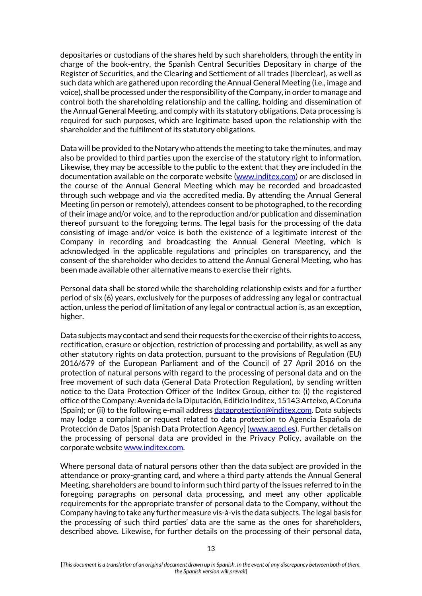depositaries or custodians of the shares held by such shareholders, through the entity in charge of the book-entry, the Spanish Central Securities Depositary in charge of the Register of Securities, and the Clearing and Settlement of all trades (Iberclear), as well as such data which are gathered upon recording the Annual General Meeting (i.e., image and voice), shall be processed under the responsibility of the Company, in order to manage and control both the shareholding relationship and the calling, holding and dissemination of the Annual General Meeting, and comply with its statutory obligations. Data processing is required for such purposes, which are legitimate based upon the relationship with the shareholder and the fulfilment of its statutory obligations.

Data will be provided to the Notary who attends the meeting to take the minutes, and may also be provided to third parties upon the exercise of the statutory right to information. Likewise, they may be accessible to the public to the extent that they are included in the documentation available on the corporate website [\(www.inditex.com\)](http://www.inditex.com/) or are disclosed in the course of the Annual General Meeting which may be recorded and broadcasted through such webpage and via the accredited media. By attending the Annual General Meeting (in person or remotely), attendees consent to be photographed, to the recording of their image and/or voice, and to the reproduction and/or publication and dissemination thereof pursuant to the foregoing terms. The legal basis for the processing of the data consisting of image and/or voice is both the existence of a legitimate interest of the Company in recording and broadcasting the Annual General Meeting, which is acknowledged in the applicable regulations and principles on transparency, and the consent of the shareholder who decides to attend the Annual General Meeting, who has been made available other alternative means to exercise their rights.

Personal data shall be stored while the shareholding relationship exists and for a further period of six (6) years, exclusively for the purposes of addressing any legal or contractual action, unless the period of limitation of any legal or contractual action is, as an exception, higher.

Data subjects may contact and send their requests for the exercise of their rights to access, rectification, erasure or objection, restriction of processing and portability, as well as any other statutory rights on data protection, pursuant to the provisions of Regulation (EU) 2016/679 of the European Parliament and of the Council of 27 April 2016 on the protection of natural persons with regard to the processing of personal data and on the free movement of such data (General Data Protection Regulation), by sending written notice to the Data Protection Officer of the Inditex Group, either to: (i) the registered office of the Company: Avenida de la Diputación, Edificio Inditex, 15143 Arteixo, A Coruña (Spain); or (ii) to the following e-mail address [dataprotection@inditex.com.](mailto:dataprotection@inditex.com) Data subjects may lodge a complaint or request related to data protection to Agencia Española de Protección de Datos [Spanish Data Protection Agency] [\(www.agpd.es\)](http://www.agpd.es/). Further details on the processing of personal data are provided in the Privacy Policy, available on the corporate website [www.inditex.com.](http://www.inditex.com/)

Where personal data of natural persons other than the data subject are provided in the attendance or proxy-granting card, and where a third party attends the Annual General Meeting, shareholders are bound to inform such third party of the issues referred to in the foregoing paragraphs on personal data processing, and meet any other applicable requirements for the appropriate transfer of personal data to the Company, without the Company having to take any further measure vis-à-vis the data subjects. The legal basis for the processing of such third parties' data are the same as the ones for shareholders, described above. Likewise, for further details on the processing of their personal data,